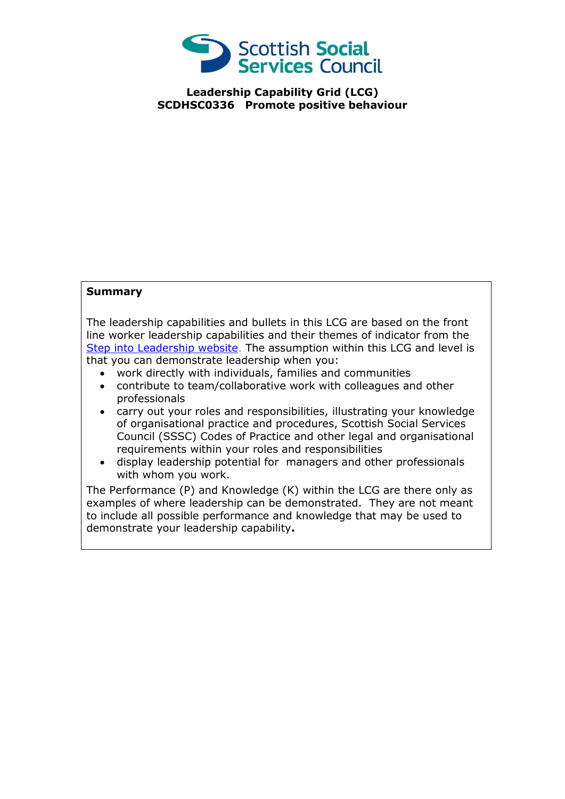

**Leadership Capability Grid (LCG) SCDHSC0336 Promote positive behaviour**

## **Summary**

The leadership capabilities and bullets in this LCG are based on the front line worker leadership capabilities and their themes of indicator from the [Step into Leadership website.](http://www.stepintoleadership.info/) The assumption within this LCG and level is that you can demonstrate leadership when you:

- work directly with individuals, families and communities
- contribute to team/collaborative work with colleagues and other professionals
- carry out your roles and responsibilities, illustrating your knowledge of organisational practice and procedures, Scottish Social Services Council (SSSC) Codes of Practice and other legal and organisational requirements within your roles and responsibilities
- display leadership potential for managers and other professionals with whom you work.

The Performance (P) and Knowledge (K) within the LCG are there only as examples of where leadership can be demonstrated. They are not meant to include all possible performance and knowledge that may be used to demonstrate your leadership capability**.**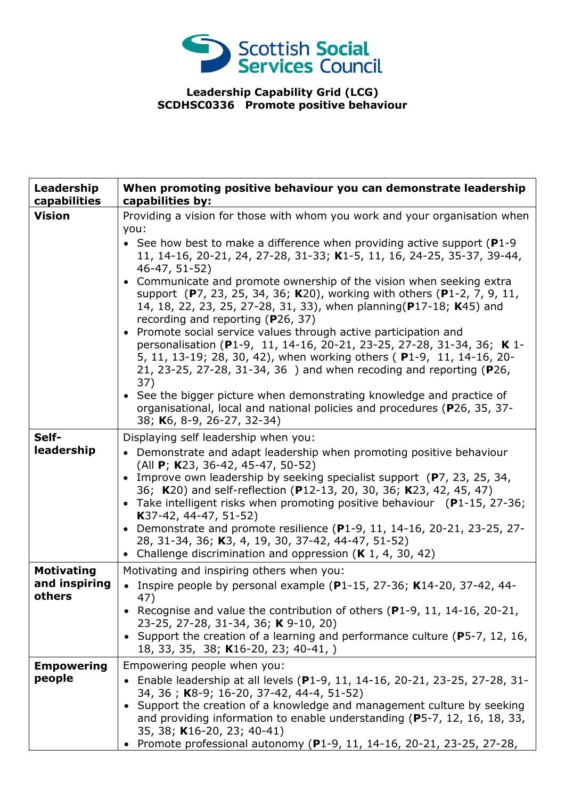

## **Leadership Capability Grid (LCG) SCDHSC0336 Promote positive behaviour**

| Leadership<br>capabilities                   | When promoting positive behaviour you can demonstrate leadership<br>capabilities by:                                                                                                                                                                                                                                                                                                                                                                                                                                                                                                                                                                                                                                                                                                                                                                                                                                                                                                                             |
|----------------------------------------------|------------------------------------------------------------------------------------------------------------------------------------------------------------------------------------------------------------------------------------------------------------------------------------------------------------------------------------------------------------------------------------------------------------------------------------------------------------------------------------------------------------------------------------------------------------------------------------------------------------------------------------------------------------------------------------------------------------------------------------------------------------------------------------------------------------------------------------------------------------------------------------------------------------------------------------------------------------------------------------------------------------------|
| <b>Vision</b>                                | Providing a vision for those with whom you work and your organisation when<br>you:<br>• See how best to make a difference when providing active support ( $P1-9$<br>11, 14-16, 20-21, 24, 27-28, 31-33; K1-5, 11, 16, 24-25, 35-37, 39-44,<br>46-47, 51-52)<br>• Communicate and promote ownership of the vision when seeking extra<br>support (P7, 23, 25, 34, 36; K20), working with others (P1-2, 7, 9, 11,<br>14, 18, 22, 23, 25, 27-28, 31, 33), when planning (P17-18; K45) and<br>recording and reporting (P26, 37)<br>• Promote social service values through active participation and<br>personalisation (P1-9, 11, 14-16, 20-21, 23-25, 27-28, 31-34, 36; K 1-<br>5, 11, 13-19; 28, 30, 42), when working others (P1-9, 11, 14-16, 20-<br>21, 23-25, 27-28, 31-34, 36) and when recoding and reporting (P26,<br>37)<br>• See the bigger picture when demonstrating knowledge and practice of<br>organisational, local and national policies and procedures (P26, 35, 37-<br>38; K6, 8-9, 26-27, 32-34) |
| Self-<br>leadership                          | Displaying self leadership when you:<br>• Demonstrate and adapt leadership when promoting positive behaviour<br>(All P; K23, 36-42, 45-47, 50-52)<br>• Improve own leadership by seeking specialist support (P7, 23, 25, 34,<br>36; K20) and self-reflection (P12-13, 20, 30, 36; K23, 42, 45, 47)<br>• Take intelligent risks when promoting positive behaviour (P1-15, 27-36;<br>K37-42, 44-47, 51-52)<br>• Demonstrate and promote resilience (P1-9, 11, 14-16, 20-21, 23-25, 27-<br>28, 31-34, 36; K3, 4, 19, 30, 37-42, 44-47, 51-52)<br>• Challenge discrimination and oppression $(K 1, 4, 30, 42)$                                                                                                                                                                                                                                                                                                                                                                                                       |
| <b>Motivating</b><br>and inspiring<br>others | Motivating and inspiring others when you:<br>Inspire people by personal example ( $P1-15$ , 27-36; K14-20, 37-42, 44-<br>47)<br>• Recognise and value the contribution of others (P1-9, 11, 14-16, 20-21,<br>23-25, 27-28, 31-34, 36; K 9-10, 20)<br>• Support the creation of a learning and performance culture (P5-7, 12, 16,<br>18, 33, 35, 38; K16-20, 23; 40-41, )                                                                                                                                                                                                                                                                                                                                                                                                                                                                                                                                                                                                                                         |
| <b>Empowering</b><br>people                  | Empowering people when you:<br>Enable leadership at all levels (P1-9, 11, 14-16, 20-21, 23-25, 27-28, 31-<br>34, 36; K8-9; 16-20, 37-42, 44-4, 51-52)<br>Support the creation of a knowledge and management culture by seeking<br>$\bullet$<br>and providing information to enable understanding ( $P$ 5-7, 12, 16, 18, 33,<br>35, 38; K16-20, 23; 40-41)<br>Promote professional autonomy (P1-9, 11, 14-16, 20-21, 23-25, 27-28,                                                                                                                                                                                                                                                                                                                                                                                                                                                                                                                                                                                |